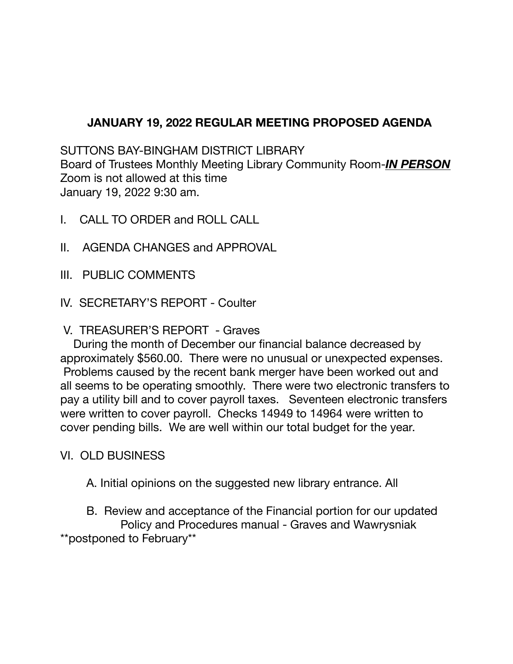# **JANUARY 19, 2022 REGULAR MEETING PROPOSED AGENDA**

SUTTONS BAY-BINGHAM DISTRICT LIBRARY Board of Trustees Monthly Meeting Library Community Room-*IN PERSON* Zoom is not allowed at this time January 19, 2022 9:30 am.

- I. CALL TO ORDER and ROLL CALL
- II. AGENDA CHANGES and APPROVAL
- III. PUBLIC COMMENTS
- IV. SECRETARY'S REPORT Coulter

### V. TREASURER'S REPORT - Graves

During the month of December our financial balance decreased by approximately \$560.00. There were no unusual or unexpected expenses. Problems caused by the recent bank merger have been worked out and all seems to be operating smoothly. There were two electronic transfers to pay a utility bill and to cover payroll taxes. Seventeen electronic transfers were written to cover payroll. Checks 14949 to 14964 were written to cover pending bills. We are well within our total budget for the year.

VI. OLD BUSINESS

A. Initial opinions on the suggested new library entrance. All

B. Review and acceptance of the Financial portion for our updated Policy and Procedures manual - Graves and Wawrysniak \*\*postponed to February\*\*